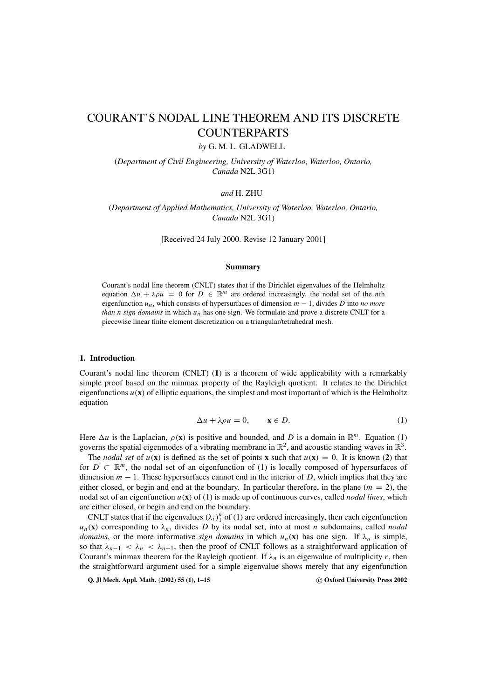# COURANT'S NODAL LINE THEOREM AND ITS DISCRETE COUNTERPARTS

*by* G. M. L. GLADWELL

(*Department of Civil Engineering, University of Waterloo, Waterloo, Ontario, Canada* N2L 3G1)

*and* H. ZHU

(*Department of Applied Mathematics, University of Waterloo, Waterloo, Ontario, Canada* N2L 3G1)

[Received 24 July 2000. Revise 12 January 2001]

## **Summary**

Courant's nodal line theorem (CNLT) states that if the Dirichlet eigenvalues of the Helmholtz equation  $\Delta u + \lambda \rho u = 0$  for  $D \in \mathbb{R}^m$  are ordered increasingly, the nodal set of the *n*th eigenfunction *un*, which consists of hypersurfaces of dimension *m* − 1, divides *D* into *no more than n sign domains* in which  $u_n$  has one sign. We formulate and prove a discrete CNLT for a piecewise linear finite element discretization on a triangular/tetrahedral mesh.

#### **1. Introduction**

Courant's nodal line theorem (CNLT) (**1**) is a theorem of wide applicability with a remarkably simple proof based on the minmax property of the Rayleigh quotient. It relates to the Dirichlet eigenfunctions  $u(\mathbf{x})$  of elliptic equations, the simplest and most important of which is the Helmholtz equation

$$
\Delta u + \lambda \rho u = 0, \qquad \mathbf{x} \in D. \tag{1}
$$

Here  $\Delta u$  is the Laplacian,  $\rho(\mathbf{x})$  is positive and bounded, and *D* is a domain in  $\mathbb{R}^m$ . Equation (1) governs the spatial eigenmodes of a vibrating membrane in  $\mathbb{R}^2$ , and acoustic standing waves in  $\mathbb{R}^3$ .

The *nodal set* of  $u(\mathbf{x})$  is defined as the set of points **x** such that  $u(\mathbf{x}) = 0$ . It is known (2) that for  $D \subset \mathbb{R}^m$ , the nodal set of an eigenfunction of (1) is locally composed of hypersurfaces of dimension  $m - 1$ . These hypersurfaces cannot end in the interior of *D*, which implies that they are either closed, or begin and end at the boundary. In particular therefore, in the plane  $(m = 2)$ , the nodal set of an eigenfunction *u*(**x**) of (1) is made up of continuous curves, called *nodal lines*, which are either closed, or begin and end on the boundary.

CNLT states that if the eigenvalues  $(\lambda_i)_1^n$  of (1) are ordered increasingly, then each eigenfunction  $u_n(\mathbf{x})$  corresponding to  $\lambda_n$ , divides *D* by its nodal set, into at most *n* subdomains, called *nodal domains*, or the more informative *sign domains* in which  $u_n(\mathbf{x})$  has one sign. If  $\lambda_n$  is simple, so that  $\lambda_{n-1} < \lambda_n < \lambda_{n+1}$ , then the proof of CNLT follows as a straightforward application of Courant's minmax theorem for the Rayleigh quotient. If  $\lambda_n$  is an eigenvalue of multiplicity *r*, then the straightforward argument used for a simple eigenvalue shows merely that any eigenfunction

**Q. Jl Mech. Appl. Math. (2002) 55 (1), 1–15 c Oxford University Press 2002**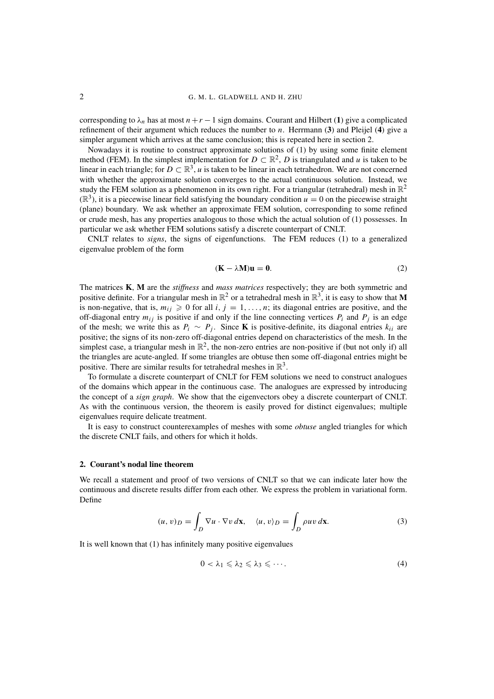## 2 G. M. L. GLADWELL AND H. ZHU

corresponding to  $\lambda_n$  has at most  $n + r - 1$  sign domains. Courant and Hilbert (1) give a complicated refinement of their argument which reduces the number to *n*. Herrmann (**3**) and Pleijel (**4**) give a simpler argument which arrives at the same conclusion; this is repeated here in section 2.

Nowadays it is routine to construct approximate solutions of (1) by using some finite element method (FEM). In the simplest implementation for  $D \subset \mathbb{R}^2$ , *D* is triangulated and *u* is taken to be linear in each triangle; for  $D \subset \mathbb{R}^3$ , *u* is taken to be linear in each tetrahedron. We are not concerned with whether the approximate solution converges to the actual continuous solution. Instead, we study the FEM solution as a phenomenon in its own right. For a triangular (tetrahedral) mesh in  $\mathbb{R}^2$  $(\mathbb{R}^3)$ , it is a piecewise linear field satisfying the boundary condition  $u = 0$  on the piecewise straight (plane) boundary. We ask whether an approximate FEM solution, corresponding to some refined or crude mesh, has any properties analogous to those which the actual solution of (1) possesses. In particular we ask whether FEM solutions satisfy a discrete counterpart of CNLT.

CNLT relates to *signs*, the signs of eigenfunctions. The FEM reduces (1) to a generalized eigenvalue problem of the form

$$
(\mathbf{K} - \lambda \mathbf{M})\mathbf{u} = \mathbf{0}.\tag{2}
$$

The matrices **K**, **M** are the *stiffness* and *mass matrices* respectively; they are both symmetric and positive definite. For a triangular mesh in  $\mathbb{R}^2$  or a tetrahedral mesh in  $\mathbb{R}^3$ , it is easy to show that **M** is non-negative, that is,  $m_{ij} \ge 0$  for all *i*,  $j = 1, ..., n$ ; its diagonal entries are positive, and the off-diagonal entry  $m_{ij}$  is positive if and only if the line connecting vertices  $P_i$  and  $P_j$  is an edge of the mesh; we write this as  $P_i \sim P_j$ . Since **K** is positive-definite, its diagonal entries  $k_{ii}$  are positive; the signs of its non-zero off-diagonal entries depend on characteristics of the mesh. In the simplest case, a triangular mesh in  $\mathbb{R}^2$ , the non-zero entries are non-positive if (but not only if) all the triangles are acute-angled. If some triangles are obtuse then some off-diagonal entries might be positive. There are similar results for tetrahedral meshes in  $\mathbb{R}^3$ .

To formulate a discrete counterpart of CNLT for FEM solutions we need to construct analogues of the domains which appear in the continuous case. The analogues are expressed by introducing the concept of a *sign graph*. We show that the eigenvectors obey a discrete counterpart of CNLT. As with the continuous version, the theorem is easily proved for distinct eigenvalues; multiple eigenvalues require delicate treatment.

It is easy to construct counterexamples of meshes with some *obtuse* angled triangles for which the discrete CNLT fails, and others for which it holds.

## **2. Courant's nodal line theorem**

We recall a statement and proof of two versions of CNLT so that we can indicate later how the continuous and discrete results differ from each other. We express the problem in variational form. Define

$$
(u, v)_D = \int_D \nabla u \cdot \nabla v \, d\mathbf{x}, \quad \langle u, v \rangle_D = \int_D \rho u v \, d\mathbf{x}.
$$
 (3)

It is well known that (1) has infinitely many positive eigenvalues

$$
0 < \lambda_1 \leqslant \lambda_2 \leqslant \lambda_3 \leqslant \cdots \tag{4}
$$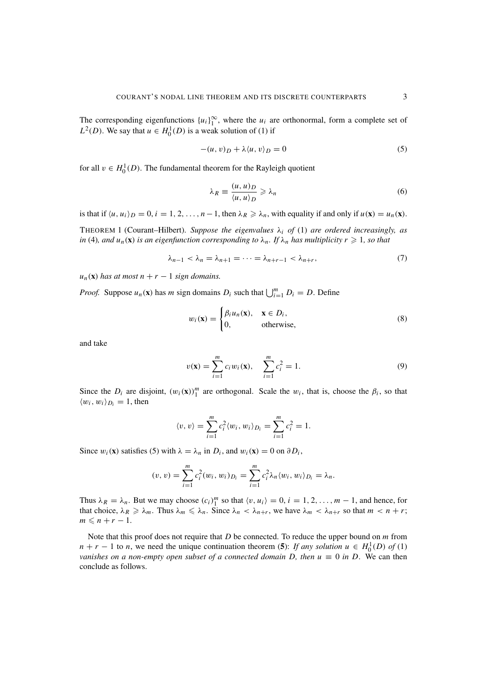The corresponding eigenfunctions  $\{u_i\}_{1}^{\infty}$ , where the  $u_i$  are orthonormal, form a complete set of  $L^2(D)$ . We say that  $u \in H_0^1(D)$  is a weak solution of (1) if

$$
-(u, v)_D + \lambda \langle u, v \rangle_D = 0 \tag{5}
$$

for all  $v \in H_0^1(D)$ . The fundamental theorem for the Rayleigh quotient

$$
\lambda_R \equiv \frac{(u, u)_D}{\langle u, u \rangle_D} \ge \lambda_n \tag{6}
$$

is that if  $\langle u, u_i \rangle_D = 0$ ,  $i = 1, 2, ..., n-1$ , then  $\lambda_R \ge \lambda_n$ , with equality if and only if  $u(\mathbf{x}) = u_n(\mathbf{x})$ .

THEOREM 1 (Courant–Hilbert). Suppose the eigenvalues  $\lambda_i$  of (1) are ordered increasingly, as *in* (4)*, and*  $u_n(\mathbf{x})$  *is an eigenfunction corresponding to*  $\lambda_n$ *. If*  $\lambda_n$  *has multiplicity*  $r \geq 1$ *, so that* 

$$
\lambda_{n-1} < \lambda_n = \lambda_{n+1} = \dots = \lambda_{n+r-1} < \lambda_{n+r},\tag{7}
$$

 $u_n(\mathbf{x})$  *has at most n* + *r* − 1 *sign domains.* 

*Proof.* Suppose  $u_n(\mathbf{x})$  has *m* sign domains  $D_i$  such that  $\bigcup_{i=1}^m D_i = D$ . Define

$$
w_i(\mathbf{x}) = \begin{cases} \beta_i u_n(\mathbf{x}), & \mathbf{x} \in D_i, \\ 0, & \text{otherwise,} \end{cases}
$$
 (8)

and take

$$
v(\mathbf{x}) = \sum_{i=1}^{m} c_i w_i(\mathbf{x}), \quad \sum_{i=1}^{m} c_i^2 = 1.
$$
 (9)

Since the  $D_i$  are disjoint,  $(w_i(\mathbf{x}))_1^m$  are orthogonal. Scale the  $w_i$ , that is, choose the  $\beta_i$ , so that  $\langle w_i, w_i \rangle_{D_i} = 1$ , then

$$
\langle v, v \rangle = \sum_{i=1}^{m} c_i^2 \langle w_i, w_i \rangle_{D_i} = \sum_{i=1}^{m} c_i^2 = 1.
$$

Since  $w_i(\mathbf{x})$  satisfies (5) with  $\lambda = \lambda_n$  in  $D_i$ , and  $w_i(\mathbf{x}) = 0$  on  $\partial D_i$ ,

$$
(v, v) = \sum_{i=1}^{m} c_i^2 (w_i, w_i)_{D_i} = \sum_{i=1}^{m} c_i^2 \lambda_n \langle w_i, w_i \rangle_{D_i} = \lambda_n.
$$

Thus  $\lambda_R = \lambda_n$ . But we may choose  $(c_i)_1^m$  so that  $\langle v, u_i \rangle = 0$ ,  $i = 1, 2, ..., m - 1$ , and hence, for that choice,  $\lambda_R \ge \lambda_m$ . Thus  $\lambda_m \le \lambda_n$ . Since  $\lambda_n < \lambda_{n+r}$ , we have  $\lambda_m < \lambda_{n+r}$  so that  $m < n+r$ ;  $m \leq n + r - 1.$ 

Note that this proof does not require that *D* be connected. To reduce the upper bound on *m* from  $n + r - 1$  to *n*, we need the unique continuation theorem (5): *If any solution*  $u \in H_0^1(D)$  *of* (1) *vanishes on a non-empty open subset of a connected domain D, then*  $u \equiv 0$  *in D.* We can then conclude as follows.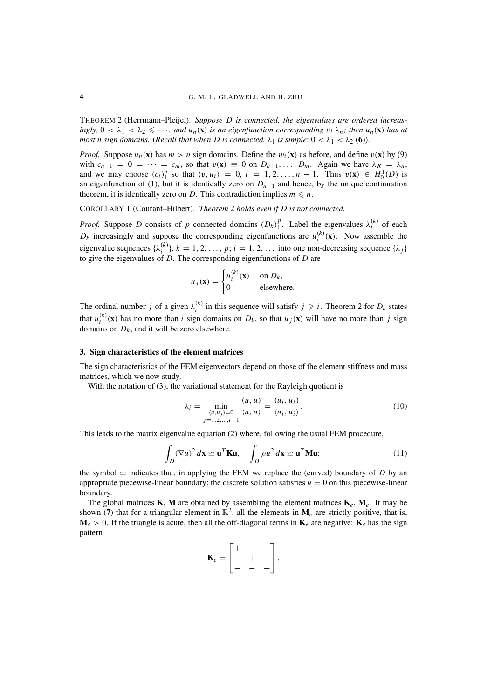THEOREM 2 (Herrmann–Pleijel). *Suppose D is connected, the eigenvalues are ordered increasingly,*  $0 < \lambda_1 < \lambda_2 \leq \cdots$ , and  $u_n(\mathbf{x})$  *is an eigenfunction corresponding to*  $\lambda_n$ *; then*  $u_n(\mathbf{x})$  *has at most n sign domains.* (*Recall that when D is connected,*  $\lambda_1$  *is simple:*  $0 < \lambda_1 < \lambda_2$  (6)).

*Proof.* Suppose  $u_n(x)$  has  $m > n$  sign domains. Define the  $w_i(x)$  as before, and define  $v(x)$  by (9) with  $c_{n+1} = 0 = \cdots = c_m$ , so that  $v(\mathbf{x}) \equiv 0$  on  $D_{n+1}, \ldots, D_m$ . Again we have  $\lambda_R = \lambda_n$ , and we may choose  $(c_i)_1^n$  so that  $\langle v, u_i \rangle = 0$ ,  $i = 1, 2, ..., n - 1$ . Thus  $v(\mathbf{x}) \in H_0^1(D)$  is an eigenfunction of (1), but it is identically zero on  $D_{n+1}$  and hence, by the unique continuation theorem, it is identically zero on *D*. This contradiction implies  $m \le n$ .

COROLLARY 1 (Courant–Hilbert). *Theorem* 2 *holds even if D is not connected.*

*Proof.* Suppose *D* consists of *p* connected domains  $(D_k)_1^p$ . Label the eigenvalues  $\lambda_i^{(k)}$  of each  $D_k$  increasingly and suppose the corresponding eigenfunctions are  $u_i^{(k)}(\mathbf{x})$ . Now assemble the eigenvalue sequences  $\{\lambda_i^{(k)}\}, k = 1, 2, ..., p; i = 1, 2, ...$  into one non-decreasing sequence  $\{\lambda_j\}$ to give the eigenvalues of *D*. The corresponding eigenfunctions of *D* are

$$
u_j(\mathbf{x}) = \begin{cases} u_i^{(k)}(\mathbf{x}) & \text{on } D_k, \\ 0 & \text{elsewhere.} \end{cases}
$$

The ordinal number *j* of a given  $\lambda_i^{(k)}$  in this sequence will satisfy  $j \geq i$ . Theorem 2 for  $D_k$  states that  $u_i^{(k)}(\mathbf{x})$  has no more than *i* sign domains on  $D_k$ , so that  $u_j(\mathbf{x})$  will have no more than *j* sign domains on  $D_k$ , and it will be zero elsewhere.

## **3. Sign characteristics of the element matrices**

The sign characteristics of the FEM eigenvectors depend on those of the element stiffness and mass matrices, which we now study.

With the notation of (3), the variational statement for the Rayleigh quotient is

$$
\lambda_i = \min_{\substack{\langle u, u_j \rangle = 0 \\ j = 1, 2, ..., i - 1}} \frac{(u, u)}{\langle u, u \rangle} = \frac{(u_i, u_i)}{\langle u_i, u_i \rangle}.
$$
\n(10)

This leads to the matrix eigenvalue equation (2) where, following the usual FEM procedure,

$$
\int_{D} (\nabla u)^2 d\mathbf{x} \simeq \mathbf{u}^T \mathbf{K} \mathbf{u}, \quad \int_{D} \rho u^2 d\mathbf{x} \simeq \mathbf{u}^T \mathbf{M} \mathbf{u};
$$
\n(11)

the symbol  $\leq$  indicates that, in applying the FEM we replace the (curved) boundary of *D* by an appropriate piecewise-linear boundary; the discrete solution satisfies *u* = 0 on this piecewise-linear boundary.

The global matrices **K**, **M** are obtained by assembling the element matrices  $\mathbf{K}_e$ ,  $\mathbf{M}_e$ . It may be shown (7) that for a triangular element in  $\mathbb{R}^2$ , all the elements in  $\mathbf{M}_e$  are strictly positive, that is,  $M_e > 0$ . If the triangle is acute, then all the off-diagonal terms in  $K_e$  are negative:  $K_e$  has the sign pattern

$$
\mathbf{K}_e = \begin{bmatrix} + & - & - \\ - & + & - \\ - & - & + \end{bmatrix}.
$$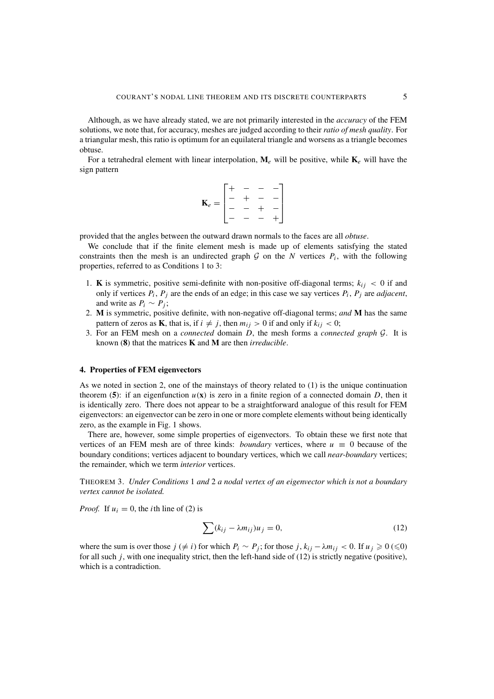Although, as we have already stated, we are not primarily interested in the *accuracy* of the FEM solutions, we note that, for accuracy, meshes are judged according to their *ratio of mesh quality*. For a triangular mesh, this ratio is optimum for an equilateral triangle and worsens as a triangle becomes obtuse.

For a tetrahedral element with linear interpolation,  $\mathbf{M}_e$  will be positive, while  $\mathbf{K}_e$  will have the sign pattern

$$
\mathbf{K}_e = \begin{bmatrix} + & - & - & - \\ - & + & - & - \\ - & - & + & - \\ - & - & - & + \end{bmatrix}
$$

provided that the angles between the outward drawn normals to the faces are all *obtuse*.

We conclude that if the finite element mesh is made up of elements satisfying the stated constraints then the mesh is an undirected graph  $G$  on the *N* vertices  $P_i$ , with the following properties, referred to as Conditions 1 to 3:

- 1. **K** is symmetric, positive semi-definite with non-positive off-diagonal terms;  $k_{ij}$  < 0 if and only if vertices  $P_i$ ,  $P_j$  are the ends of an edge; in this case we say vertices  $P_i$ ,  $P_j$  are *adjacent*, and write as  $P_i \sim P_j$ ;
- 2. **M** is symmetric, positive definite, with non-negative off-diagonal terms; *and* **M** has the same pattern of zeros as **K**, that is, if  $i \neq j$ , then  $m_{ij} > 0$  if and only if  $k_{ij} < 0$ ;
- 3. For an FEM mesh on a *connected* domain *D*, the mesh forms a *connected graph* G. It is known (**8**) that the matrices **K** and **M** are then *irreducible*.

## **4. Properties of FEM eigenvectors**

As we noted in section 2, one of the mainstays of theory related to (1) is the unique continuation theorem (5): if an eigenfunction  $u(\mathbf{x})$  is zero in a finite region of a connected domain *D*, then it is identically zero. There does not appear to be a straightforward analogue of this result for FEM eigenvectors: an eigenvector can be zero in one or more complete elements without being identically zero, as the example in Fig. 1 shows.

There are, however, some simple properties of eigenvectors. To obtain these we first note that vertices of an FEM mesh are of three kinds: *boundary* vertices, where  $u \equiv 0$  because of the boundary conditions; vertices adjacent to boundary vertices, which we call *near-boundary* vertices; the remainder, which we term *interior* vertices.

THEOREM 3. *Under Conditions* 1 *and* 2 *a nodal vertex of an eigenvector which is not a boundary vertex cannot be isolated.*

*Proof.* If  $u_i = 0$ , the *i*th line of (2) is

$$
\sum (k_{ij} - \lambda m_{ij}) u_j = 0, \qquad (12)
$$

where the sum is over those  $j \neq i$  for which  $P_i \sim P_j$ ; for those  $j, k_{ij} - \lambda m_{ij} < 0$ . If  $u_j \geq 0 \leq 0$ for all such *j*, with one inequality strict, then the left-hand side of (12) is strictly negative (positive), which is a contradiction.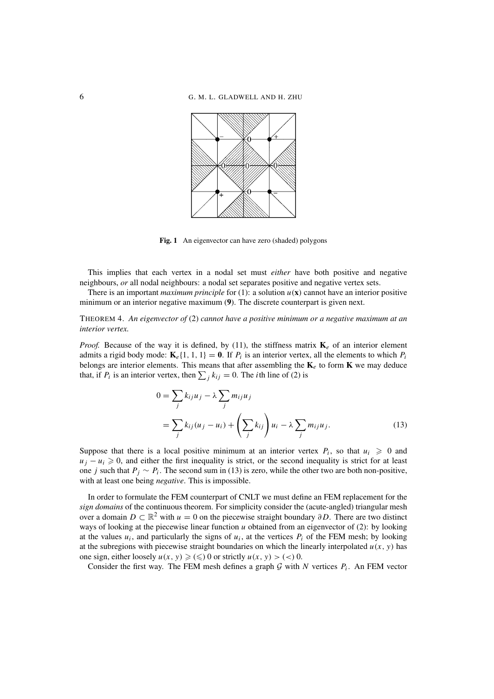

Fig. 1 An eigenvector can have zero (shaded) polygons

This implies that each vertex in a nodal set must *either* have both positive and negative neighbours, *or* all nodal neighbours: a nodal set separates positive and negative vertex sets.

There is an important *maximum principle* for (1): a solution  $u(\mathbf{x})$  cannot have an interior positive minimum or an interior negative maximum (**9**). The discrete counterpart is given next.

## THEOREM 4. *An eigenvector of* (2) *cannot have a positive minimum or a negative maximum at an interior vertex.*

*Proof.* Because of the way it is defined, by (11), the stiffness matrix  $\mathbf{K}_e$  of an interior element admits a rigid body mode:  $\mathbf{K}_e\{1, 1, 1\} = \mathbf{0}$ . If  $P_i$  is an interior vertex, all the elements to which  $P_i$ belongs are interior elements. This means that after assembling the  $\mathbf{K}_e$  to form  $\mathbf{K}$  we may deduce that, if  $P_i$  is an interior vertex, then  $\sum_j k_{ij} = 0$ . The *i*th line of (2) is

$$
0 = \sum_{j} k_{ij} u_j - \lambda \sum_{j} m_{ij} u_j
$$
  
= 
$$
\sum_{j} k_{ij} (u_j - u_i) + \left(\sum_{j} k_{ij}\right) u_i - \lambda \sum_{j} m_{ij} u_j.
$$
 (13)

Suppose that there is a local positive minimum at an interior vertex  $P_i$ , so that  $u_i \geq 0$  and  $u_j - u_i \geq 0$ , and either the first inequality is strict, or the second inequality is strict for at least one *j* such that  $P_j \sim P_i$ . The second sum in (13) is zero, while the other two are both non-positive, with at least one being *negative*. This is impossible.

In order to formulate the FEM counterpart of CNLT we must define an FEM replacement for the *sign domains* of the continuous theorem. For simplicity consider the (acute-angled) triangular mesh over a domain  $D \subset \mathbb{R}^2$  with  $u = 0$  on the piecewise straight boundary  $\partial D$ . There are two distinct ways of looking at the piecewise linear function *u* obtained from an eigenvector of (2): by looking at the values  $u_i$ , and particularly the signs of  $u_i$ , at the vertices  $P_i$  of the FEM mesh; by looking at the subregions with piecewise straight boundaries on which the linearly interpolated  $u(x, y)$  has one sign, either loosely  $u(x, y) \geqslant (\leqslant) 0$  or strictly  $u(x, y) > (\leqslant) 0$ .

Consider the first way. The FEM mesh defines a graph  $G$  with  $N$  vertices  $P_i$ . An FEM vector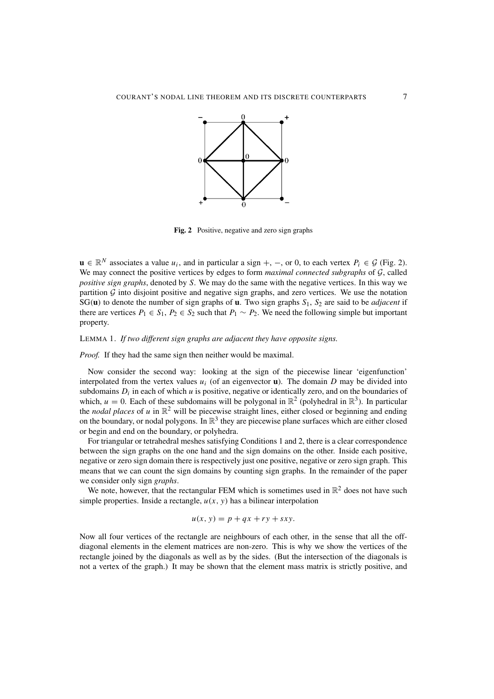

**Fig. 2** Positive, negative and zero sign graphs

**u** ∈  $\mathbb{R}^N$  associates a value  $u_i$ , and in particular a sign +, –, or 0, to each vertex  $P_i \in \mathcal{G}$  (Fig. 2). We may connect the positive vertices by edges to form *maximal connected subgraphs* of G, called *positive sign graphs*, denoted by *S*. We may do the same with the negative vertices. In this way we partition  $G$  into disjoint positive and negative sign graphs, and zero vertices. We use the notation SG(**u**) to denote the number of sign graphs of **u**. Two sign graphs *S*1, *S*<sup>2</sup> are said to be *adjacent* if there are vertices  $P_1 \in S_1$ ,  $P_2 \in S_2$  such that  $P_1 \sim P_2$ . We need the following simple but important property.

## LEMMA 1. *If two different sign graphs are adjacent they have opposite signs.*

*Proof.* If they had the same sign then neither would be maximal.

Now consider the second way: looking at the sign of the piecewise linear 'eigenfunction' interpolated from the vertex values  $u_i$  (of an eigenvector  $u$ ). The domain  $D$  may be divided into subdomains  $D_i$  in each of which  $u$  is positive, negative or identically zero, and on the boundaries of which,  $u = 0$ . Each of these subdomains will be polygonal in  $\mathbb{R}^2$  (polyhedral in  $\mathbb{R}^3$ ). In particular the *nodal places* of  $u$  in  $\mathbb{R}^2$  will be piecewise straight lines, either closed or beginning and ending on the boundary, or nodal polygons. In  $\mathbb{R}^3$  they are piecewise plane surfaces which are either closed or begin and end on the boundary, or polyhedra.

For triangular or tetrahedral meshes satisfying Conditions 1 and 2, there is a clear correspondence between the sign graphs on the one hand and the sign domains on the other. Inside each positive, negative or zero sign domain there is respectively just one positive, negative or zero sign graph. This means that we can count the sign domains by counting sign graphs. In the remainder of the paper we consider only sign *graphs*.

We note, however, that the rectangular FEM which is sometimes used in  $\mathbb{R}^2$  does not have such simple properties. Inside a rectangle,  $u(x, y)$  has a bilinear interpolation

$$
u(x, y) = p + qx + ry + sxy.
$$

Now all four vertices of the rectangle are neighbours of each other, in the sense that all the offdiagonal elements in the element matrices are non-zero. This is why we show the vertices of the rectangle joined by the diagonals as well as by the sides. (But the intersection of the diagonals is not a vertex of the graph.) It may be shown that the element mass matrix is strictly positive, and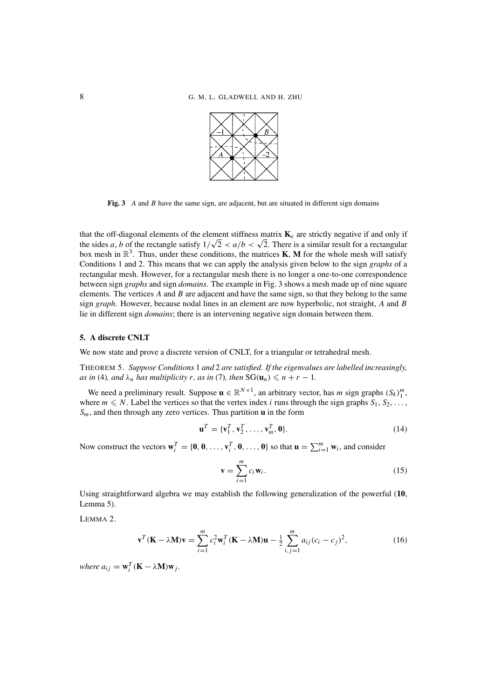

**Fig. 3** *A* and *B* have the same sign, are adjacent, but are situated in different sign domains

that the off-diagonal elements of the element stiffness matrix  $\mathbf{K}_e$  are strictly negative if and only if that the off-diagonal elements of the element stiffness matrix  $\mathbf{k}_e$  are strictly negative if and only if<br>the sides *a*, *b* of the rectangle satisfy  $1/\sqrt{2} < a/b < \sqrt{2}$ . There is a similar result for a rectangular box mesh in  $\mathbb{R}^3$ . Thus, under these conditions, the matrices **K**, **M** for the whole mesh will satisfy Conditions 1 and 2. This means that we can apply the analysis given below to the sign *graphs* of a rectangular mesh. However, for a rectangular mesh there is no longer a one-to-one correspondence between sign *graphs* and sign *domains*. The example in Fig. 3 shows a mesh made up of nine square elements. The vertices *A* and *B* are adjacent and have the same sign, so that they belong to the same sign *graph*. However, because nodal lines in an element are now hyperbolic, not straight, *A* and *B* lie in different sign *domains*; there is an intervening negative sign domain between them.

## **5. A discrete CNLT**

We now state and prove a discrete version of CNLT, for a triangular or tetrahedral mesh.

THEOREM 5. *Suppose Conditions* 1 *and* 2 *are satisfied. If the eigenvalues are labelled increasingly, as in* (4)*, and*  $\lambda_n$  *has multiplicity r, as in* (7)*, then*  $SG(u_n) \leq n + r - 1$ *.* 

We need a preliminary result. Suppose  $\mathbf{u} \in \mathbb{R}^{N \times 1}$ , an arbitrary vector, has *m* sign graphs  $(S_k)_1^m$ , where  $m \leq N$ . Label the vertices so that the vertex index *i* runs through the sign graphs  $S_1, S_2, \ldots$ , *Sm*, and then through any zero vertices. Thus partition **u** in the form

$$
\mathbf{u}^T = \{\mathbf{v}_1^T, \mathbf{v}_2^T, \dots, \mathbf{v}_m^T, \mathbf{0}\}.
$$
 (14)

Now construct the vectors  $\mathbf{w}_i^T = \{\mathbf{0}, \mathbf{0}, \dots, \mathbf{v}_i^T, \mathbf{0}, \dots, \mathbf{0}\}$  so that  $\mathbf{u} = \sum_{i=1}^m \mathbf{w}_i$ , and consider

$$
\mathbf{v} = \sum_{i=1}^{m} c_i \mathbf{w}_i.
$$
 (15)

Using straightforward algebra we may establish the following generalization of the powerful (**10**, Lemma 5).

LEMMA 2.

$$
\mathbf{v}^T (\mathbf{K} - \lambda \mathbf{M}) \mathbf{v} = \sum_{i=1}^m c_i^2 \mathbf{w}_i^T (\mathbf{K} - \lambda \mathbf{M}) \mathbf{u} - \frac{1}{2} \sum_{i,j=1}^m a_{ij} (c_i - c_j)^2,
$$
(16)

*where*  $a_{ij} = \mathbf{w}_i^T (\mathbf{K} - \lambda \mathbf{M}) \mathbf{w}_j$ .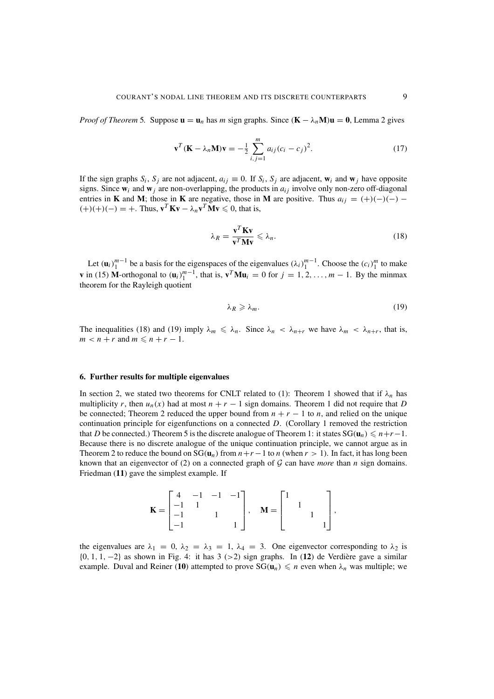*Proof of Theorem* 5. Suppose  $\mathbf{u} = \mathbf{u}_n$  has *m* sign graphs. Since  $(\mathbf{K} - \lambda_n \mathbf{M})\mathbf{u} = \mathbf{0}$ , Lemma 2 gives

$$
\mathbf{v}^{T}(\mathbf{K} - \lambda_{n}\mathbf{M})\mathbf{v} = -\frac{1}{2}\sum_{i,j=1}^{m} a_{ij}(c_{i} - c_{j})^{2}.
$$
 (17)

If the sign graphs  $S_i$ ,  $S_j$  are not adjacent,  $a_{ij} \equiv 0$ . If  $S_i$ ,  $S_j$  are adjacent,  $\mathbf{w}_i$  and  $\mathbf{w}_j$  have opposite signs. Since  $w_i$  and  $w_j$  are non-overlapping, the products in  $a_{ij}$  involve only non-zero off-diagonal entries in **K** and **M**; those in **K** are negative, those in **M** are positive. Thus  $a_{ij} = (+)(-)(-)$  $(+)(+)(-) = +$ . Thus,  $\mathbf{v}^T \mathbf{K} \mathbf{v} - \lambda_n \mathbf{v}^T \mathbf{M} \mathbf{v} \leq 0$ , that is,

$$
\lambda_R = \frac{\mathbf{v}^T \mathbf{K} \mathbf{v}}{\mathbf{v}^T \mathbf{M} \mathbf{v}} \leqslant \lambda_n. \tag{18}
$$

Let  $(\mathbf{u}_i)_{1}^{m-1}$  be a basis for the eigenspaces of the eigenvalues  $(\lambda_i)_{1}^{m-1}$ . Choose the  $(c_i)_{1}^{m}$  to make **v** in (15) **M**-orthogonal to  $(\mathbf{u}_i)_{1}^{m-1}$ , that is,  $\mathbf{v}^T \mathbf{M} \mathbf{u}_i = 0$  for  $j = 1, 2, ..., m - 1$ . By the minmax theorem for the Rayleigh quotient

$$
\lambda_R \geqslant \lambda_m. \tag{19}
$$

The inequalities (18) and (19) imply  $\lambda_m \leq \lambda_n$ . Since  $\lambda_n < \lambda_{n+r}$  we have  $\lambda_m < \lambda_{n+r}$ , that is,  $m < n + r$  and  $m \leq n + r - 1$ .

## **6. Further results for multiple eigenvalues**

In section 2, we stated two theorems for CNLT related to (1): Theorem 1 showed that if  $\lambda_n$  has multiplicity *r*, then  $u_n(x)$  had at most  $n + r - 1$  sign domains. Theorem 1 did not require that *D* be connected; Theorem 2 reduced the upper bound from  $n + r - 1$  to *n*, and relied on the unique continuation principle for eigenfunctions on a connected *D*. (Corollary 1 removed the restriction that *D* be connected.) Theorem 5 is the discrete analogue of Theorem 1: it states  $SG(u_n) \leq n+r-1$ . Because there is no discrete analogue of the unique continuation principle, we cannot argue as in Theorem 2 to reduce the bound on  $SG(u_n)$  from  $n+r-1$  to *n* (when  $r > 1$ ). In fact, it has long been known that an eigenvector of (2) on a connected graph of G can have *more* than *n* sign domains. Friedman (**11**) gave the simplest example. If

$$
\mathbf{K} = \begin{bmatrix} 4 & -1 & -1 & -1 \\ -1 & 1 & & \\ -1 & & 1 & \\ -1 & & & 1 \end{bmatrix}, \quad \mathbf{M} = \begin{bmatrix} 1 & & & \\ & 1 & & \\ & & 1 & \\ & & & 1 \end{bmatrix},
$$

the eigenvalues are  $\lambda_1 = 0$ ,  $\lambda_2 = \lambda_3 = 1$ ,  $\lambda_4 = 3$ . One eigenvector corresponding to  $\lambda_2$  is {0, 1, 1, −2} as shown in Fig. 4: it has 3 (>2) sign graphs. In (**12**) de Verdiere gave a similar ` example. Duval and Reiner (10) attempted to prove  $SG(u_n) \leq n$  even when  $\lambda_n$  was multiple; we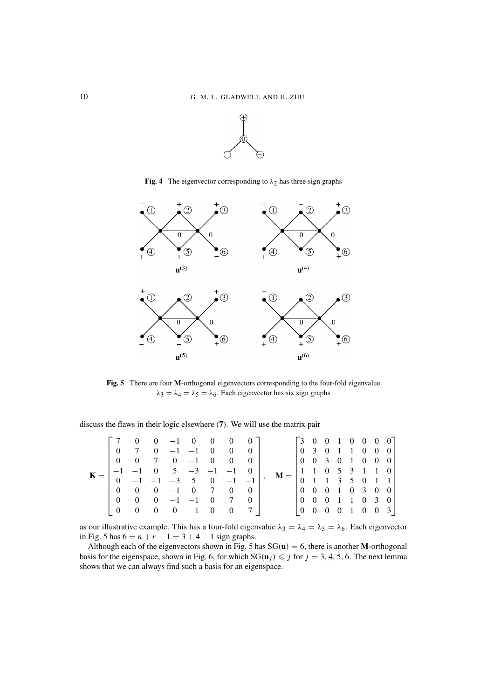

**Fig. 4** The eigenvector corresponding to  $\lambda_2$  has three sign graphs



**Fig. 5** There are four **M**-orthogonal eigenvectors corresponding to the four-fold eigenvalue  $\lambda_3 = \lambda_4 = \lambda_5 = \lambda_6$ . Each eigenvector has six sign graphs

discuss the flaws in their logic elsewhere (**7**). We will use the matrix pair

| K |          | $\mathbf{0}$                 | $\theta$       | $-1$ 0 0 0 0                   |        |                   |                |  | $M =$ | $\begin{bmatrix} 3 & 0 \end{bmatrix}$ |   |           |                                 |    |                |                             | $0 \t1 \t0 \t0 \t0 \t0$           |
|---|----------|------------------------------|----------------|--------------------------------|--------|-------------------|----------------|--|-------|---------------------------------------|---|-----------|---------------------------------|----|----------------|-----------------------------|-----------------------------------|
|   | $\Omega$ | $\overline{7}$               |                | $0 \t -1 \t -1 \t 0 \t 0 \t 0$ |        |                   |                |  |       | $\begin{matrix} 0 & 3 \end{matrix}$   |   |           | 0 1 1 0                         |    |                | $\mathbf{0}$                | $\begin{bmatrix} 0 \end{bmatrix}$ |
|   | $\Omega$ | $\theta$                     | $\overline{7}$ | $0 \quad -1 \quad 0$           |        | $\sim 0$          | $0 \cdot$      |  |       |                                       |   |           | 100301                          |    | $\overline{0}$ | $0\quad 0$                  |                                   |
|   |          | $-1$ $-1$ 0 5 $-3$ $-1$ $-1$ |                |                                |        |                   | $\Omega$       |  |       |                                       |   |           | $1 \t1 \t0 \t5 \t3 \t1 \t1 \t0$ |    |                |                             |                                   |
|   | $\Omega$ | $-1$                         |                | $-1$ $-3$ 5 0 $-1$ $-1$        |        |                   |                |  |       |                                       |   |           | $0 \t1 \t1 \t3 \t5 \t0$         |    |                |                             |                                   |
|   | $\Omega$ | $\mathbf{0}$                 | $\theta$       | $-1$ 0 7 0                     |        |                   | 0              |  |       | $0 \quad 0$                           |   | $0\quad1$ |                                 |    |                | $0 \quad 3 \quad 0 \quad 0$ |                                   |
|   | $\theta$ | $\theta$                     | $\Omega$       | $-1$ $-1$ 0 7                  |        |                   | $\Omega$       |  |       | 100                                   |   |           | $0 \t1 \t1 \t0$                 |    |                | 3 0                         |                                   |
|   | $\theta$ | $\Omega$                     | $\Omega$       | $\left( \right)$               | $-1$ 0 | $\hspace{1.6cm}0$ | $\overline{7}$ |  |       |                                       | 0 |           | $\theta$                        | -1 | $\theta$       | 0 <sup>3</sup>              |                                   |

as our illustrative example. This has a four-fold eigenvalue  $\lambda_3 = \lambda_4 = \lambda_5 = \lambda_6$ . Each eigenvector in Fig. 5 has  $6 = n + r - 1 = 3 + 4 - 1$  sign graphs.

Although each of the eigenvectors shown in Fig. 5 has  $SG(u) = 6$ , there is another **M**-orthogonal basis for the eigenspace, shown in Fig. 6, for which  $SG(\mathbf{u}_j) \leq j$  for  $j = 3, 4, 5, 6$ . The next lemma shows that we can always find such a basis for an eigenspace.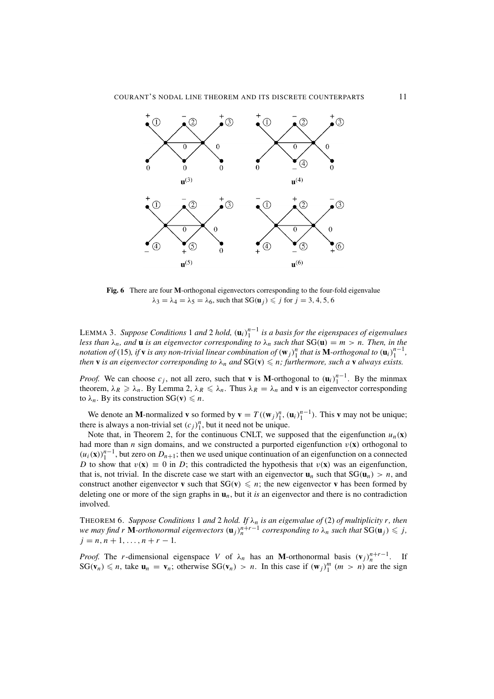

**Fig. 6** There are four **M**-orthogonal eigenvectors corresponding to the four-fold eigenvalue  $\lambda_3 = \lambda_4 = \lambda_5 = \lambda_6$ , such that  $SG(\mathbf{u}_j) \leqslant j$  for  $j = 3, 4, 5, 6$ 

LEMMA 3. *Suppose Conditions* 1 *and* 2 *hold,* (**u***i*) *n*−1 <sup>1</sup> *is a basis for the eigenspaces of eigenvalues less than*  $\lambda_n$ *, and* **u** *is an eigenvector corresponding to*  $\lambda_n$  *such that*  $SG(u) = m > n$ *. Then, in the notation of* (15), *if* **v** *is any non-trivial linear combination of*  $(w_j)_1^n$  *that is* **M**-orthogonal to  $(u_i)_1^{n-1}$ , *then* **v** *is an eigenvector corresponding to*  $\lambda_n$  *and*  $SG(v) \leqslant n$ ; *furthermore, such a* **v** *always exists.* 

*Proof.* We can choose  $c_j$ , not all zero, such that **v** is **M**-orthogonal to  $(\mathbf{u}_i)_{1}^{n-1}$ . By the minmax theorem,  $\lambda_R \ge \lambda_n$ . By Lemma 2,  $\lambda_R \le \lambda_n$ . Thus  $\lambda_R = \lambda_n$  and **v** is an eigenvector corresponding to  $\lambda_n$ . By its construction  $SG(v) \leq n$ .

We denote an **M**-normalized **v** so formed by  $\mathbf{v} = T((\mathbf{w}_j)_{1}^n, (\mathbf{u}_i)_{1}^{n-1})$ . This **v** may not be unique; there is always a non-trivial set  $(c_j)_1^n$ , but it need not be unique.

Note that, in Theorem 2, for the continuous CNLT, we supposed that the eigenfunction  $u_n(\mathbf{x})$ had more than *n* sign domains, and we constructed a purported eigenfunction  $v(\mathbf{x})$  orthogonal to  $(u_i(\mathbf{x}))_1^{n-1}$ , but zero on  $D_{n+1}$ ; then we used unique continuation of an eigenfunction on a connected *D* to show that  $v(\mathbf{x}) \equiv 0$  in *D*; this contradicted the hypothesis that  $v(\mathbf{x})$  was an eigenfunction, that is, not trivial. In the discrete case we start with an eigenvector  $\mathbf{u}_n$  such that  $SG(\mathbf{u}_n) > n$ , and construct another eigenvector **v** such that  $SG(v) \leq n$ ; the new eigenvector **v** has been formed by deleting one or more of the sign graphs in  $\mathbf{u}_n$ , but it *is* an eigenvector and there is no contradiction involved.

THEOREM 6. *Suppose Conditions* 1 *and* 2 *hold. If* λ*<sup>n</sup> is an eigenvalue of* (2) *of multiplicity r, then we may find r* **M**-orthonormal eigenvectors  $(\mathbf{u}_j)_n^{n+r-1}$  corresponding to  $\lambda_n$  such that  $SG(\mathbf{u}_j) \leq j$ ,  $j = n, n + 1, \ldots, n + r - 1.$ 

*Proof.* The *r*-dimensional eigenspace *V* of  $\lambda_n$  has an **M**-orthonormal basis  $(v_j)_n^{n+r-1}$ . If  $SG(v_n) \le n$ , take  $u_n = v_n$ ; otherwise  $SG(v_n) > n$ . In this case if  $(w_j)_1^m$   $(m > n)$  are the sign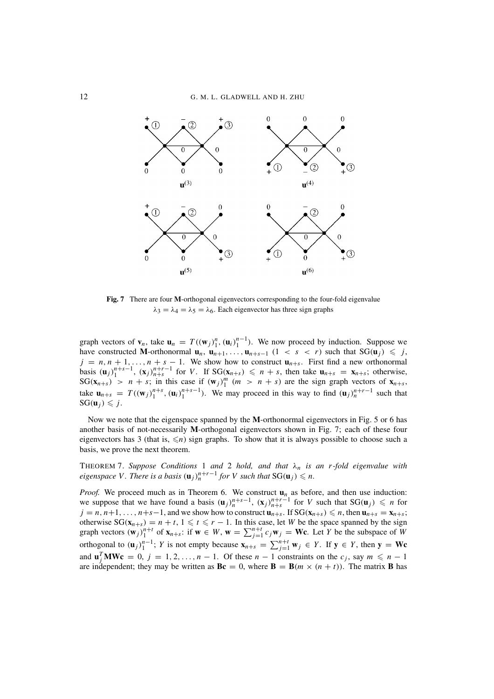

**Fig. 7** There are four **M**-orthogonal eigenvectors corresponding to the four-fold eigenvalue  $\lambda_3 = \lambda_4 = \lambda_5 = \lambda_6$ . Each eigenvector has three sign graphs

graph vectors of  $\mathbf{v}_n$ , take  $\mathbf{u}_n = T((\mathbf{w}_j)_1^n, (\mathbf{u}_i)_1^{n-1})$ . We now proceed by induction. Suppose we have constructed **M**-orthonormal  $\mathbf{u}_n$ ,  $\mathbf{u}_{n+1}$ ,...,  $\mathbf{u}_{n+s-1}$  (1 < *s* < *r*) such that  $SG(\mathbf{u}_j) \leq j$ ,  $j = n, n + 1, \ldots, n + s - 1$ . We show how to construct  $\mathbf{u}_{n+s}$ . First find a new orthonormal basis  $(\mathbf{u}_j)_1^{n+s-1}$ ,  $(\mathbf{x}_j)_{n+s}^{n+r-1}$  for V. If  $SG(\mathbf{x}_{n+s}) \leq n+s$ , then take  $\mathbf{u}_{n+s} = \mathbf{x}_{n+s}$ ; otherwise,  $SG(\mathbf{x}_{n+s}) > n + s$ ; in this case if  $(\mathbf{w}_j)_1^m$   $(m > n + s)$  are the sign graph vectors of  $\mathbf{x}_{n+s}$ , take  $\mathbf{u}_{n+s} = T((\mathbf{w}_j)_{1}^{n+s}, (\mathbf{u}_i)_{1}^{n+s-1})$ . We may proceed in this way to find  $(\mathbf{u}_j)_{n}^{n+r-1}$  such that  $SG(\mathbf{u}_j) \leq j.$ 

Now we note that the eigenspace spanned by the **M**-orthonormal eigenvectors in Fig. 5 or 6 has another basis of not-necessarily **M**-orthogonal eigenvectors shown in Fig. 7; each of these four eigenvectors has 3 (that is,  $\leq n$ ) sign graphs. To show that it is always possible to choose such a basis, we prove the next theorem.

THEOREM 7. *Suppose Conditions* 1 *and* 2 *hold, and that* λ*<sup>n</sup> is an r-fold eigenvalue with eigenspace V. There is a basis*  $(\mathbf{u}_j)_n^{n+r-1}$  *for V such that*  $\text{SG}(\mathbf{u}_j) \leq n$ .

*Proof.* We proceed much as in Theorem 6. We construct  $\mathbf{u}_n$  as before, and then use induction: we suppose that we have found a basis  $(\mathbf{u}_j)_{n+s}^{n+s-1}$ ,  $(\mathbf{x}_j)_{n+s}^{n+r-1}$  for *V* such that  $SG(\mathbf{u}_j) \leq n$  for  $j = n, n+1, \ldots, n+s-1$ , and we show how to construct  $\mathbf{u}_{n+s}$ . If  $SG(\mathbf{x}_{n+s}) \leq n$ , then  $\mathbf{u}_{n+s} = \mathbf{x}_{n+s}$ ; otherwise  $SG(x_{n+s}) = n + t$ ,  $1 \leq t \leq r - 1$ . In this case, let *W* be the space spanned by the sign graph vectors  $(\mathbf{w}_j)_1^{n+t}$  of  $\mathbf{x}_{n+s}$ : if  $\mathbf{w} \in W$ ,  $\mathbf{w} = \sum_{j=1}^{n+t} c_j \mathbf{w}_j = \mathbf{W} \mathbf{c}$ . Let Y be the subspace of W orthogonal to  $(\mathbf{u}_j)_{1}^{n-1}$ ; *Y* is not empty because  $\mathbf{x}_{n+s} = \sum_{j=1}^{n+t} \mathbf{w}_j \in Y$ . If  $\mathbf{y} \in Y$ , then  $\mathbf{y} = \mathbf{Wc}$ and  $\mathbf{u}_j^T \mathbf{M} \mathbf{W} \mathbf{c} = 0$ ,  $j = 1, 2, ..., n - 1$ . Of these  $n - 1$  constraints on the  $c_j$ , say  $m \leq n - 1$ are independent; they may be written as  $\mathbf{Bc} = 0$ , where  $\mathbf{B} = \mathbf{B}(m \times (n + t))$ . The matrix **B** has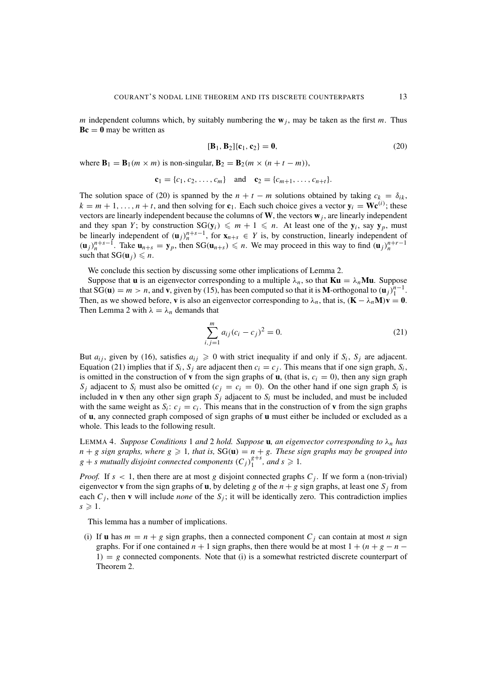*m* independent columns which, by suitably numbering the  $w_i$ , may be taken as the first *m*. Thus  **may be written as** 

$$
[\mathbf{B}_1, \mathbf{B}_2] \{ \mathbf{c}_1, \mathbf{c}_2 \} = \mathbf{0},\tag{20}
$$

where  $\mathbf{B}_1 = \mathbf{B}_1(m \times m)$  is non-singular,  $\mathbf{B}_2 = \mathbf{B}_2(m \times (n + t - m))$ ,

$$
\mathbf{c}_1 = \{c_1, c_2, \dots, c_m\} \text{ and } \mathbf{c}_2 = \{c_{m+1}, \dots, c_{n+t}\}.
$$

The solution space of (20) is spanned by the  $n + t - m$  solutions obtained by taking  $c_k = \delta_{ik}$ ,  $k = m + 1, \ldots, n + t$ , and then solving for **c**<sub>1</sub>. Each such choice gives a vector  $y_i = \mathbf{W}e^{(i)}$ ; these vectors are linearly independent because the columns of  $W$ , the vectors  $w_j$ , are linearly independent and they span *Y*; by construction  $SG(y_i) \leq m + 1 \leq n$ . At least one of the  $y_i$ , say  $y_p$ , must be linearly independent of  $(\mathbf{u}_j)_n^{n+s-1}$ , for  $\mathbf{x}_{n+s} \in Y$  is, by construction, linearly independent of  $(\mathbf{u}_j)_n^{n+s-1}$ . Take  $\mathbf{u}_{n+s} = \mathbf{y}_p$ , then  $SG(\mathbf{u}_{n+s}) \leq n$ . We may proceed in this way to find  $(\mathbf{u}_j)_n^{n+r-1}$ such that  $SG(\mathbf{u}_j) \leq n$ .

We conclude this section by discussing some other implications of Lemma 2.

Suppose that **u** is an eigenvector corresponding to a multiple  $\lambda_n$ , so that  $Ku = \lambda_n Mu$ . Suppose that SG(**u**) =  $m > n$ , and **v**, given by (15), has been computed so that it is **M**-orthogonal to  $(\mathbf{u}_j)^{n-1}$ . Then, as we showed before, **v** is also an eigenvector corresponding to  $\lambda_n$ , that is,  $(\mathbf{K} - \lambda_n \mathbf{M})\mathbf{v} = \mathbf{0}$ . Then Lemma 2 with  $\lambda = \lambda_n$  demands that

$$
\sum_{i,j=1}^{m} a_{ij} (c_i - c_j)^2 = 0.
$$
 (21)

But  $a_{ij}$ , given by (16), satisfies  $a_{ij} \ge 0$  with strict inequality if and only if  $S_i$ ,  $S_j$  are adjacent. Equation (21) implies that if  $S_i$ ,  $S_j$  are adjacent then  $c_i = c_j$ . This means that if one sign graph,  $S_i$ , is omitted in the construction of **v** from the sign graphs of **u**, (that is,  $c_i = 0$ ), then any sign graph  $S_i$  adjacent to  $S_i$  must also be omitted ( $c_j = c_i = 0$ ). On the other hand if one sign graph  $S_i$  is included in **v** then any other sign graph  $S_j$  adjacent to  $S_i$  must be included, and must be included with the same weight as  $S_i$ :  $c_j = c_i$ . This means that in the construction of **v** from the sign graphs of **u**, any connected graph composed of sign graphs of **u** must either be included or excluded as a whole. This leads to the following result.

LEMMA 4. *Suppose Conditions* 1 *and* 2 *hold. Suppose* **u***, an eigenvector corresponding to*  $\lambda_n$  *has*  $n + g$  sign graphs, where  $g \geqslant 1$ , that is,  $SG(u) = n + g$ . These sign graphs may be grouped into  $g + s$  mutually disjoint connected components  $(C_j)_1^{g+s}$ , and  $s \ge 1$ .

*Proof.* If  $s < 1$ , then there are at most *g* disjoint connected graphs  $C<sub>i</sub>$ . If we form a (non-trivial) eigenvector **v** from the sign graphs of **u**, by deleting *g* of the  $n + g$  sign graphs, at least one  $S_i$  from each  $C_j$ , then **v** will include *none* of the  $S_j$ ; it will be identically zero. This contradiction implies  $s \geqslant 1$ .

This lemma has a number of implications.

(i) If **u** has  $m = n + g$  sign graphs, then a connected component  $C_j$  can contain at most *n* sign graphs. For if one contained  $n + 1$  sign graphs, then there would be at most  $1 + (n + g - n - )$ 1) = *g* connected components. Note that (i) is a somewhat restricted discrete counterpart of Theorem 2.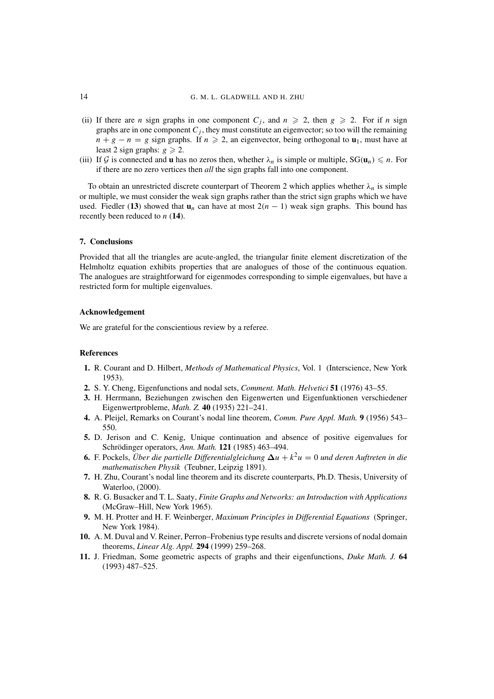- (ii) If there are *n* sign graphs in one component  $C_j$ , and  $n \geq 2$ , then  $g \geq 2$ . For if *n* sign graphs are in one component  $C_i$ , they must constitute an eigenvector; so too will the remaining  $n + g - n = g$  sign graphs. If  $n \ge 2$ , an eigenvector, being orthogonal to **u**<sub>1</sub>, must have at least 2 sign graphs:  $g \ge 2$ .
- (iii) If G is connected and **u** has no zeros then, whether  $\lambda_n$  is simple or multiple,  $SG(\mathbf{u}_n) \le n$ . For if there are no zero vertices then *all* the sign graphs fall into one component.

To obtain an unrestricted discrete counterpart of Theorem 2 which applies whether  $\lambda_n$  is simple or multiple, we must consider the weak sign graphs rather than the strict sign graphs which we have used. Fiedler (13) showed that  $\mathbf{u}_n$  can have at most  $2(n - 1)$  weak sign graphs. This bound has recently been reduced to *n* (**14**).

## **7. Conclusions**

Provided that all the triangles are acute-angled, the triangular finite element discretization of the Helmholtz equation exhibits properties that are analogues of those of the continuous equation. The analogues are straightforward for eigenmodes corresponding to simple eigenvalues, but have a restricted form for multiple eigenvalues.

## **Acknowledgement**

We are grateful for the conscientious review by a referee.

## **References**

- **1.** R. Courant and D. Hilbert, *Methods of Mathematical Physics*, Vol. 1 (Interscience, New York 1953).
- **2.** S. Y. Cheng, Eigenfunctions and nodal sets, *Comment. Math. Helvetici* **51** (1976) 43–55.
- **3.** H. Herrmann, Beziehungen zwischen den Eigenwerten und Eigenfunktionen verschiedener Eigenwertprobleme, *Math. Z.* **40** (1935) 221–241.
- **4.** A. Pleijel, Remarks on Courant's nodal line theorem, *Comm. Pure Appl. Math.* **9** (1956) 543– 550.
- **5.** D. Jerison and C. Kenig, Unique continuation and absence of positive eigenvalues for Schrödinger operators, Ann. Math. **121** (1985) 463-494.
- **6.** F. Pockels, *Über die partielle Differentialgleichung*  $\Delta u + k^2 u = 0$  *und deren Auftreten in die mathematischen Physik* (Teubner, Leipzig 1891).
- **7.** H. Zhu, Courant's nodal line theorem and its discrete counterparts, Ph.D. Thesis, University of Waterloo, (2000).
- **8.** R. G. Busacker and T. L. Saaty, *Finite Graphs and Networks: an Introduction with Applications* (McGraw–Hill, New York 1965).
- **9.** M. H. Protter and H. F. Weinberger, *Maximum Principles in Differential Equations* (Springer, New York 1984).
- **10.** A. M. Duval and V. Reiner, Perron–Frobenius type results and discrete versions of nodal domain theorems, *Linear Alg. Appl.* **294** (1999) 259–268.
- **11.** J. Friedman, Some geometric aspects of graphs and their eigenfunctions, *Duke Math. J.* **64** (1993) 487–525.